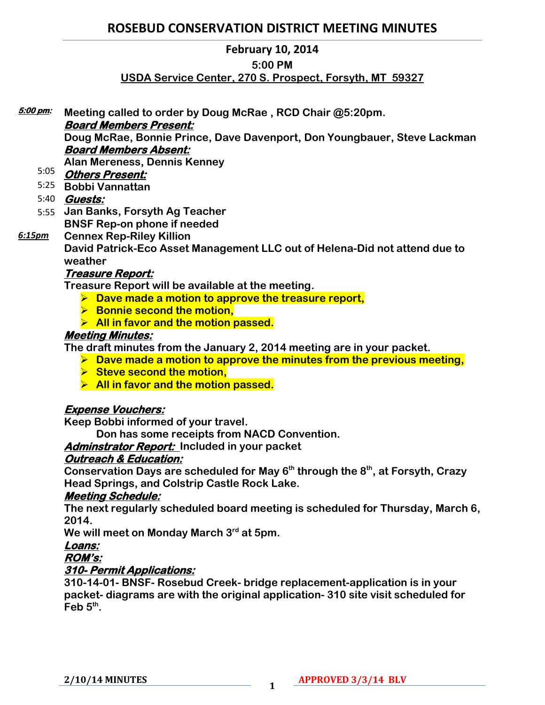### **February 10, 2014**

#### **5:00 PM**

# **USDA Service Center, 270 S. Prospect, Forsyth, MT 59327**

**Meeting called to order by Doug McRae , RCD Chair @5:20pm. 5:00 pm:** 

### **Board Members Present:**

**Doug McRae, Bonnie Prince, Dave Davenport, Don Youngbauer, Steve Lackman Board Members Absent:** 

**Alan Mereness, Dennis Kenney**

- **Others Present:**  5:05
- **Bobbi Vannattan** 5:25

# **Guests:**  5:40

- **Jan Banks, Forsyth Ag Teacher** 5:55 **BNSF Rep-on phone if needed**
- **Cennex Rep-Riley Killion** *6:15pm*

**David Patrick-Eco Asset Management LLC out of Helena-Did not attend due to weather**

# **Treasure Report:**

**Treasure Report will be available at the meeting.**

- **Dave made a motion to approve the treasure report,**
- **Bonnie second the motion,**
- **All in favor and the motion passed.**

# **Meeting Minutes:**

**The draft minutes from the January 2, 2014 meeting are in your packet.** 

- **Dave made a motion to approve the minutes from the previous meeting,**
- **► Steve second the motion,**
- **All in favor and the motion passed.**

# **Expense Vouchers:**

**Keep Bobbi informed of your travel.** 

**Don has some receipts from NACD Convention.**

**Adminstrator Report: Included in your packet** 

# **Outreach & Education:**

**Conservation Days are scheduled for May 6th through the 8th, at Forsyth, Crazy Head Springs, and Colstrip Castle Rock Lake.** 

# **Meeting Schedule:**

**The next regularly scheduled board meeting is scheduled for Thursday, March 6, 2014.** 

**We will meet on Monday March 3rd at 5pm.** 

# **Loans:**

# **ROM's:**

# **310- Permit Applications:**

**310-14-01- BNSF- Rosebud Creek- bridge replacement-application is in your packet- diagrams are with the original application- 310 site visit scheduled for Feb 5th .**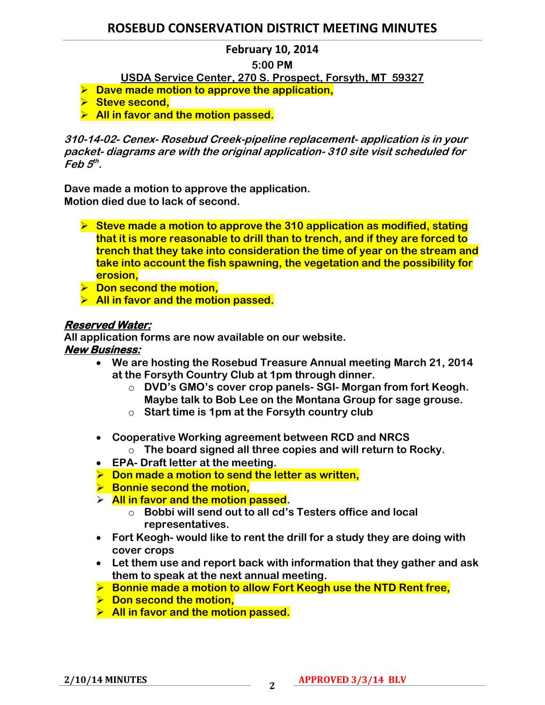#### **February 10, 2014**

#### **5:00 PM**

**USDA Service Center, 270 S. Prospect, Forsyth, MT 59327**

- **Dave made motion to approve the application,**
- **▶ Steve second,**
- **All in favor and the motion passed.**

**310-14-02- Cenex- Rosebud Creek-pipeline replacement- application is in your packet- diagrams are with the original application- 310 site visit scheduled for Feb 5 th .**

**Dave made a motion to approve the application. Motion died due to lack of second.** 

- **Steve made a motion to approve the 310 application as modified, stating that it is more reasonable to drill than to trench, and if they are forced to trench that they take into consideration the time of year on the stream and take into account the fish spawning, the vegetation and the possibility for erosion,**
- $\triangleright$  Don second the motion,
- **All in favor and the motion passed.**

#### **Reserved Water:**

**All application forms are now available on our website.** 

- **New Business:** 
	- **We are hosting the Rosebud Treasure Annual meeting March 21, 2014 at the Forsyth Country Club at 1pm through dinner.**
		- o **DVD's GMO's cover crop panels- SGI- Morgan from fort Keogh. Maybe talk to Bob Lee on the Montana Group for sage grouse.**
		- o **Start time is 1pm at the Forsyth country club**
	- **Cooperative Working agreement between RCD and NRCS**
		- o **The board signed all three copies and will return to Rocky.**
	- **EPA- Draft letter at the meeting.**
	- **▶ Don made a motion to send the letter as written,**
	- **► Bonnie second the motion,**
	- **All in favor and the motion passed.** 
		- o **Bobbi will send out to all cd's Testers office and local representatives.**
	- **Fort Keogh- would like to rent the drill for a study they are doing with cover crops**
	- **Let them use and report back with information that they gather and ask them to speak at the next annual meeting.**
	- **Bonnie made a motion to allow Fort Keogh use the NTD Rent free,**
	- **▶ Don second the motion,**
	- **All in favor and the motion passed.**

**2/10/14 MINUTES <sup>2</sup>**

**APPROVED 3/3/14 BLV**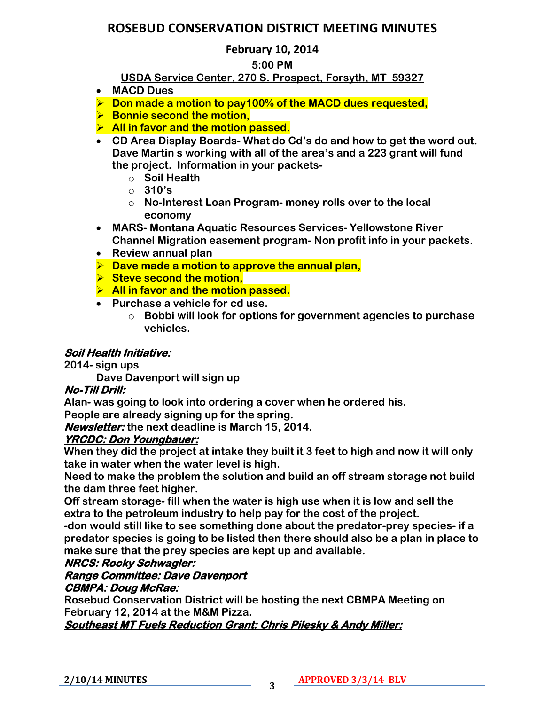# **February 10, 2014**

#### **5:00 PM**

# **USDA Service Center, 270 S. Prospect, Forsyth, MT 59327**

- **MACD Dues**
- **Don made a motion to pay100% of the MACD dues requested,**
- **► Bonnie second the motion,**
- **All in favor and the motion passed.**
- **CD Area Display Boards- What do Cd's do and how to get the word out. Dave Martin s working with all of the area's and a 223 grant will fund the project. Information in your packets**
	- o **Soil Health**
	- o **310's**
	- o **No-Interest Loan Program- money rolls over to the local economy**
- **MARS- Montana Aquatic Resources Services- Yellowstone River Channel Migration easement program- Non profit info in your packets.**
- **Review annual plan**
- **Dave made a motion to approve the annual plan,**
- **► Steve second the motion,**
- **All in favor and the motion passed.**
- **Purchase a vehicle for cd use.** 
	- o **Bobbi will look for options for government agencies to purchase vehicles.**

### **Soil Health Initiative:**

**2014- sign ups**

**Dave Davenport will sign up**

# **No-Till Drill:**

**Alan- was going to look into ordering a cover when he ordered his.** 

**People are already signing up for the spring.** 

**Newsletter: the next deadline is March 15, 2014.**

#### **YRCDC: Don Youngbauer:**

**When they did the project at intake they built it 3 feet to high and now it will only take in water when the water level is high.** 

**Need to make the problem the solution and build an off stream storage not build the dam three feet higher.** 

**Off stream storage- fill when the water is high use when it is low and sell the extra to the petroleum industry to help pay for the cost of the project.** 

**-don would still like to see something done about the predator-prey species- if a predator species is going to be listed then there should also be a plan in place to make sure that the prey species are kept up and available.** 

# **NRCS: Rocky Schwagler:**

# **Range Committee: Dave Davenport**

### **CBMPA: Doug McRae:**

**Rosebud Conservation District will be hosting the next CBMPA Meeting on February 12, 2014 at the M&M Pizza.** 

**Southeast MT Fuels Reduction Grant: Chris Pilesky & Andy Miller:**